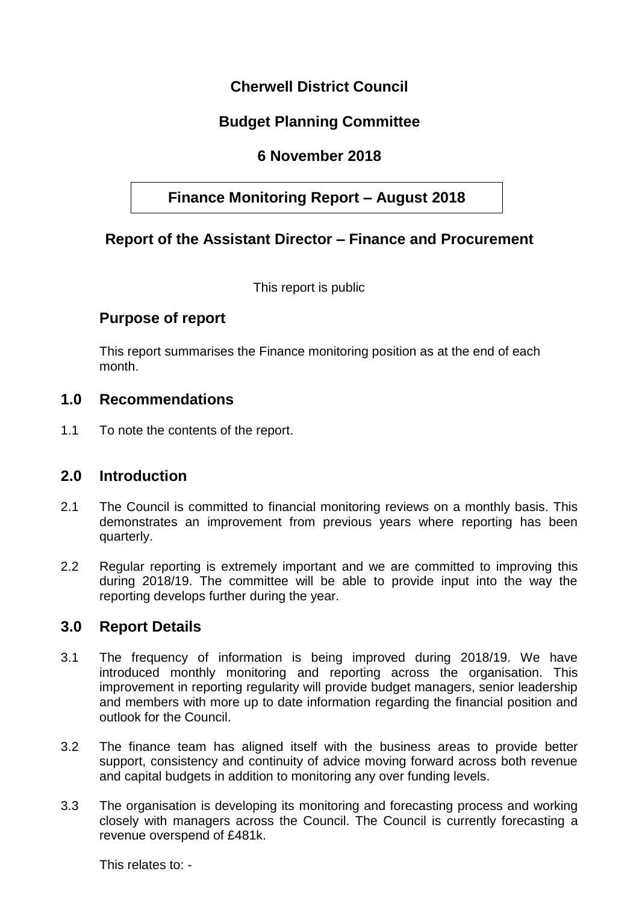# **Cherwell District Council**

# **Budget Planning Committee**

# **6 November 2018**

# **Finance Monitoring Report – August 2018**

### **Report of the Assistant Director – Finance and Procurement**

This report is public

#### **Purpose of report**

This report summarises the Finance monitoring position as at the end of each month.

#### **1.0 Recommendations**

1.1 To note the contents of the report.

#### **2.0 Introduction**

- 2.1 The Council is committed to financial monitoring reviews on a monthly basis. This demonstrates an improvement from previous years where reporting has been quarterly.
- 2.2 Regular reporting is extremely important and we are committed to improving this during 2018/19. The committee will be able to provide input into the way the reporting develops further during the year.

#### **3.0 Report Details**

- 3.1 The frequency of information is being improved during 2018/19. We have introduced monthly monitoring and reporting across the organisation. This improvement in reporting regularity will provide budget managers, senior leadership and members with more up to date information regarding the financial position and outlook for the Council.
- 3.2 The finance team has aligned itself with the business areas to provide better support, consistency and continuity of advice moving forward across both revenue and capital budgets in addition to monitoring any over funding levels.
- 3.3 The organisation is developing its monitoring and forecasting process and working closely with managers across the Council. The Council is currently forecasting a revenue overspend of £481k.

This relates to: -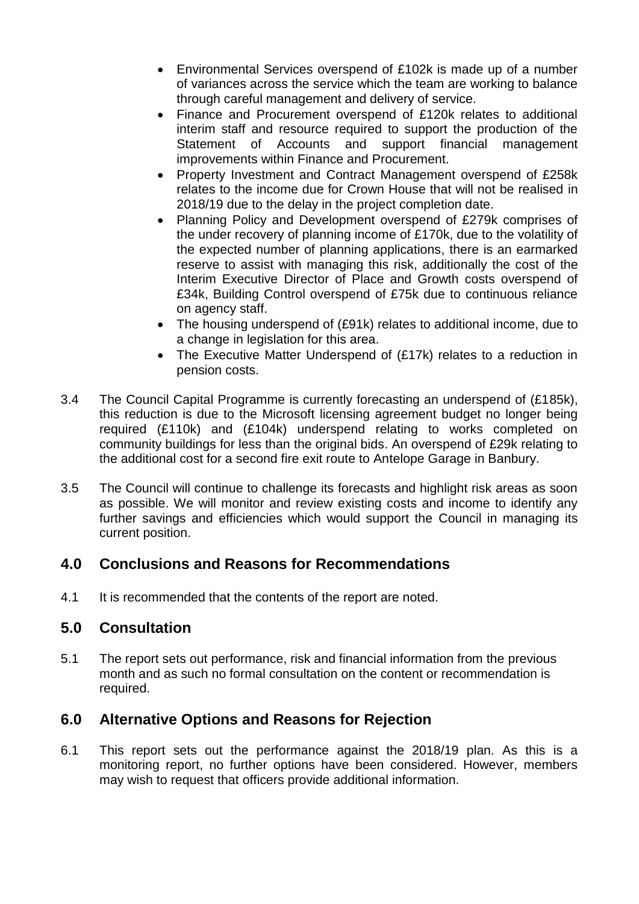- Environmental Services overspend of £102k is made up of a number of variances across the service which the team are working to balance through careful management and delivery of service.
- Finance and Procurement overspend of £120k relates to additional interim staff and resource required to support the production of the Statement of Accounts and support financial management improvements within Finance and Procurement.
- Property Investment and Contract Management overspend of £258k relates to the income due for Crown House that will not be realised in 2018/19 due to the delay in the project completion date.
- Planning Policy and Development overspend of £279k comprises of the under recovery of planning income of £170k, due to the volatility of the expected number of planning applications, there is an earmarked reserve to assist with managing this risk, additionally the cost of the Interim Executive Director of Place and Growth costs overspend of £34k, Building Control overspend of £75k due to continuous reliance on agency staff.
- The housing underspend of (£91k) relates to additional income, due to a change in legislation for this area.
- The Executive Matter Underspend of (£17k) relates to a reduction in pension costs.
- 3.4 The Council Capital Programme is currently forecasting an underspend of (£185k), this reduction is due to the Microsoft licensing agreement budget no longer being required (£110k) and (£104k) underspend relating to works completed on community buildings for less than the original bids. An overspend of £29k relating to the additional cost for a second fire exit route to Antelope Garage in Banbury.
- 3.5 The Council will continue to challenge its forecasts and highlight risk areas as soon as possible. We will monitor and review existing costs and income to identify any further savings and efficiencies which would support the Council in managing its current position.

### **4.0 Conclusions and Reasons for Recommendations**

4.1 It is recommended that the contents of the report are noted.

### **5.0 Consultation**

5.1 The report sets out performance, risk and financial information from the previous month and as such no formal consultation on the content or recommendation is required.

### **6.0 Alternative Options and Reasons for Rejection**

6.1 This report sets out the performance against the 2018/19 plan. As this is a monitoring report, no further options have been considered. However, members may wish to request that officers provide additional information.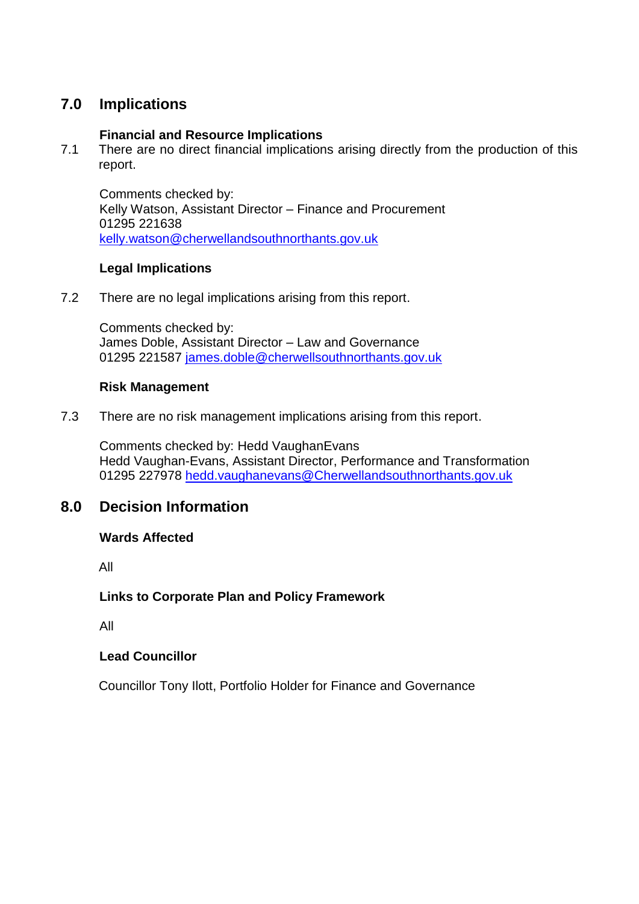## **7.0 Implications**

#### **Financial and Resource Implications**

7.1 There are no direct financial implications arising directly from the production of this report.

Comments checked by: Kelly Watson, Assistant Director – Finance and Procurement 01295 221638 [kelly.watson@cherwellandsouthnorthants.gov.uk](mailto:kelly.watson@cherwellandsouthnorthants.gov.uk)

#### **Legal Implications**

7.2 There are no legal implications arising from this report.

Comments checked by: James Doble, Assistant Director – Law and Governance 01295 221587 [james.doble@cherwellsouthnorthants.gov.uk](mailto:james.doble@cherwellsouthnorthants.gov.uk)

#### **Risk Management**

7.3 There are no risk management implications arising from this report.

Comments checked by: Hedd VaughanEvans Hedd Vaughan-Evans, Assistant Director, Performance and Transformation 01295 227978 [hedd.vaughanevans@Cherwellandsouthnorthants.gov.uk](mailto:hedd.vaughanevans@Cherwellandsouthnorthants.gov.uk)

### **8.0 Decision Information**

#### **Wards Affected**

All

#### **Links to Corporate Plan and Policy Framework**

All

#### **Lead Councillor**

Councillor Tony Ilott, Portfolio Holder for Finance and Governance